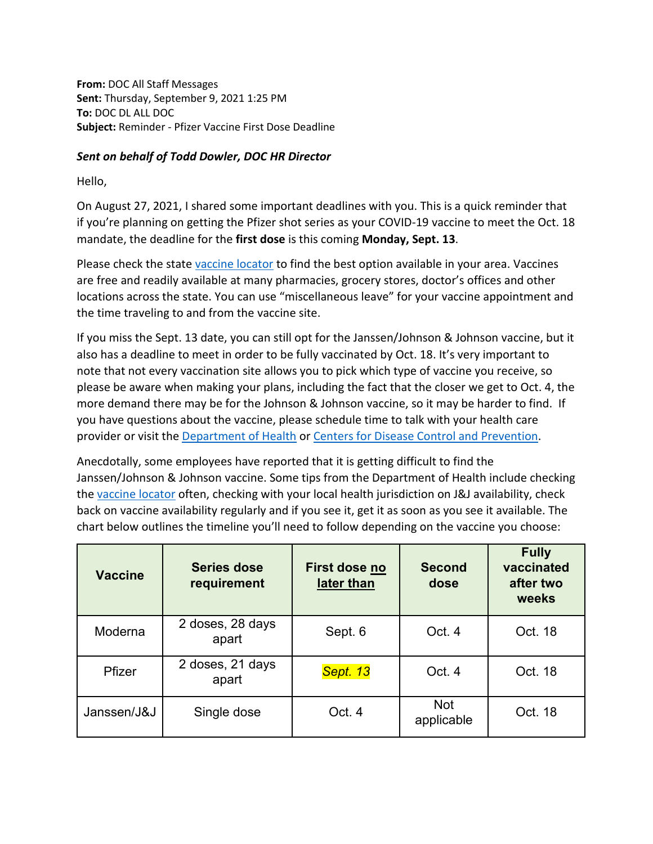**From:** DOC All Staff Messages **Sent:** Thursday, September 9, 2021 1:25 PM **To:** DOC DL ALL DOC **Subject:** Reminder - Pfizer Vaccine First Dose Deadline

## *Sent on behalf of Todd Dowler, DOC HR Director*

Hello,

On August 27, 2021, I shared some important deadlines with you. This is a quick reminder that if you're planning on getting the Pfizer shot series as your COVID-19 vaccine to meet the Oct. 18 mandate, the deadline for the **first dose** is this coming **Monday, Sept. 13**.

Please check the state [vaccine locator](https://vaccinelocator.doh.wa.gov/?language=en) to find the best option available in your area. Vaccines are free and readily available at many pharmacies, grocery stores, doctor's offices and other locations across the state. You can use "miscellaneous leave" for your vaccine appointment and the time traveling to and from the vaccine site.

If you miss the Sept. 13 date, you can still opt for the Janssen/Johnson & Johnson vaccine, but it also has a deadline to meet in order to be fully vaccinated by Oct. 18. It's very important to note that not every vaccination site allows you to pick which type of vaccine you receive, so please be aware when making your plans, including the fact that the closer we get to Oct. 4, the more demand there may be for the Johnson & Johnson vaccine, so it may be harder to find. If you have questions about the vaccine, please schedule time to talk with your health care provider or visit th[e Department of Health](https://www.doh.wa.gov/Emergencies/COVID19) or [Centers for Disease Control and Prevention.](https://www.cdc.gov/coronavirus/2019-ncov/index.html)

Anecdotally, some employees have reported that it is getting difficult to find the Janssen/Johnson & Johnson vaccine. Some tips from the Department of Health include checking the [vaccine locator](https://vaccinelocator.doh.wa.gov/?language=en) often, checking with your local health jurisdiction on J&J availability, check back on vaccine availability regularly and if you see it, get it as soon as you see it available. The chart below outlines the timeline you'll need to follow depending on the vaccine you choose:

| <b>Vaccine</b> | <b>Series dose</b><br>requirement | First dose no<br>later than | <b>Second</b><br>dose    | <b>Fully</b><br>vaccinated<br>after two<br>weeks |
|----------------|-----------------------------------|-----------------------------|--------------------------|--------------------------------------------------|
| Moderna        | 2 doses, 28 days<br>apart         | Sept. 6                     | Oct. 4                   | Oct. 18                                          |
| Pfizer         | 2 doses, 21 days<br>apart         | Sept. 13                    | Oct. 4                   | Oct. 18                                          |
| Janssen/J&J    | Single dose                       | Oct. 4                      | <b>Not</b><br>applicable | Oct. 18                                          |